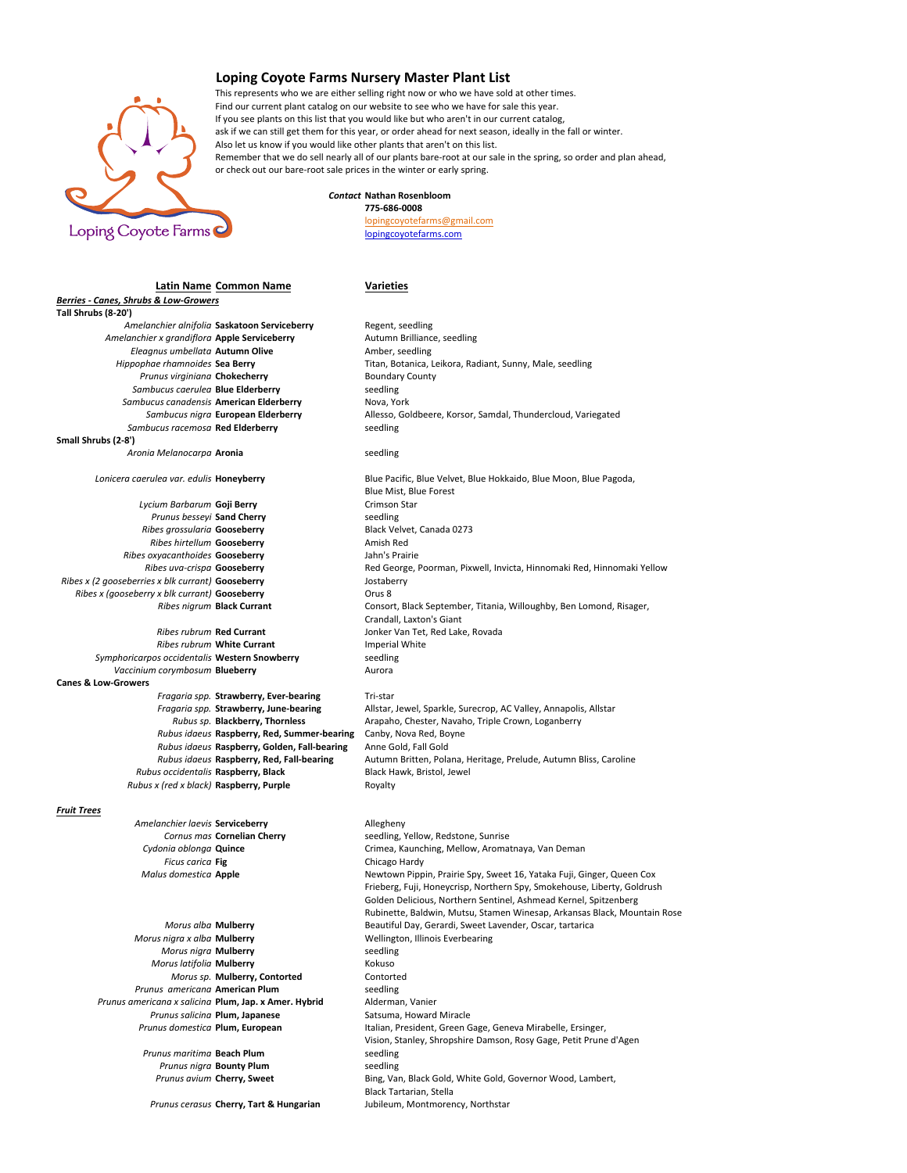

**Berries - Canes, Shrubs & Low-Growers** 

## Loping Coyote Farms Nursery Master Plant List

This represents who we are either selling right now or who we have sold at other times. Find our current plant catalog on our website to see who we have for sale this year. If you see plants on this list that you would like but who aren't in our current catalog. ask if we can still get them for this year, or order ahead for next season, ideally in the fall or winter. Also let us know if you would like other plants that aren't on this list. Remember that we do sell nearly all of our plants bare-root at our sale in the spring, so order and plan ahead, or check out our bare-root sale prices in the winter or early spring.

## *Contact* **Nathan Rosenbloom 775-686-0008**

lopingcoyotefarms@gmail.com lopingcoyotefarms.com

## **Latin Name Common Name Varieties**

**Tall Shrubs (8-20')** Amelanchier alnifolia **Saskatoon Serviceberry** Regent, seedling Amelanchier x grandiflora **Apple Serviceberry Autumn Brilliance,** seedling **Eleagnus umbellata Autumn Olive Amber, seedling**<br> *Hippophae rhamnoides* **Sea Berry Titan, Botanica, Prunus virginiana Chokecherry** Boundary County Sambucus caerulea **Blue Elderberry** seedling Sambucus canadensis **American Elderberry** Nova, York **Sambucus racemosa Red Elderberry** Seedling **Small Shrubs (2-8')** *Aronia Melanocarpa* **Aronia** seedling **Lycium Barbarum Goji Berry Communisty Communisty Crimson Star Prunus besearch Crimson Star Crimson Star Crimson Star Prunus besseyi Sand Cherry** Sand Seedling<br>
Shes arossularia Gooseberry Sheet Shack Velvet Canada 0273 *Ribes grossularia* Gooseberry **Ribes hirtellum Gooseberry Amish Red Ribes oxyacanthoides Gooseberry and School School School Jahn's Prairie<br>Ribes uva-crispa Gooseberry <b>Gooseberry** Red George, *Ribes x (2 gooseberries x blk currant)* **Gooseberry Source Algebrary** Jostaberry *Ribes x (gooseberry x blk currant)* **Gooseberry Canadian Exercise A** Orus 8 *Ribes rubrum* Red Currant **Maturity Convertision** Jonker Van Tet, Red Lake, Rovada **Ribes rubrum White Currant Imperial White Currant Imperial White** *Secularity* **In the Secure Convertsion Convertsion Symphoricarpos occidentalis Western Snowberry** *Vaccinium corymbosum* **Blueberry Aurora Aurora Canes & Low-Growers Fragaria spp. Strawberry, Ever-bearing Tri-star<br>Fragaria spp. Strawberry, June-bearing Allstar,** *Rubus idaeus* Raspberry, Red, Summer-bearing Canby, Nova Red, Boyne *Rubus idaeus* **Raspberry, Golden, Fall-bearing** Anne Gold, Fall Gold *Rubus occidentalis* **Raspberry, Black** Black Hawk, Bristol, Jewel *Rubus x (red x black)* **Raspberry, Purple** Royalty *Fruit Trees* Amelanchier laevis **Serviceberry Allegheny Cornus mas Cornelian Cherry** seedling, Yellow, Redstone, Sunrise *Ficus carica* **Fig Chicago** Hardy *Morus nigra x alba* **Mulberry Multimary Wellington, Illinois Everbearing** *Morus nigra* **Mulberry Seedling** *Morus nigra* **Mulberry** *Morus latifolia* **Mulberry Kokuso** *Morus sp.* **Mulberry, Contorted Contorted Prunus americana American Plum**<br> **mericana x salicina Plum, Jap. x Amer. Hybrid** Alderman, Vanier *Prunus americana x salicina* **Plum, Jap. x Amer. Hybrid Prunus salicina Plum, Japanese** Satsuma, Howard Miracle *Prunus maritima* **Beach Plum** seedling **Prunus nigra Bounty Plum** seedling

Titan, Botanica, Leikora, Radiant, Sunny, Male, seedling Sambucus nigra **European Elderberry** Allesso, Goldbeere, Korsor, Samdal, Thundercloud, Variegated Lonicera caerulea var. edulis **Honeyberry Blue** Pacific, Blue Velvet, Blue Hokkaido, Blue Moon, Blue Pagoda, **Blue Mist, Blue Forest Red George, Poorman, Pixwell, Invicta, Hinnomaki Red, Hinnomaki Yellow** *Ribes nigrum* **Black Currant Consort, Black September, Titania, Willoughby, Ben Lomond, Risager,** Crandall, Laxton's Giant *Fragaria spp.* **Strawberry, June-bearing** Allstar, Jewel, Sparkle, Surecrop, AC Valley, Annapolis, Allstar Rubus sp. Blackberry, Thornless Allstar Arapaho, Chester, Navaho, Triple Crown, Loganberry Arapaho, Chester, Navaho, Triple Crown, Loganberry **Rubus idaeus Raspberry, Red, Fall-bearing <b>Autumn Britten, Polana, Heritage, Prelude**, Autumn Bliss, Caroline

Cydonia oblonga **Quince Crimea**, Kaunching, Mellow, Aromatnaya, Van Deman *Malus domestica* Apple **Newtown Pippin, Prairie Spy, Sweet 16, Yataka Fuji, Ginger, Queen Cox** Frieberg, Fuji, Honeycrisp, Northern Spy, Smokehouse, Liberty, Goldrush Golden Delicious, Northern Sentinel, Ashmead Kernel, Spitzenberg Rubinette, Baldwin, Mutsu, Stamen Winesap, Arkansas Black, Mountain Rose *Morus alba* **Mulberry Beautiful Day, Gerardi, Sweet Lavender, Oscar, tartarica** Prunus domestica **Plum, European** Italian, President, Green Gage, Geneva Mirabelle, Ersinger, Vision, Stanley, Shropshire Damson, Rosy Gage, Petit Prune d'Agen **Prunus avium Cherry, Sweet** Bing, Van, Black Gold, White Gold, Governor Wood, Lambert, Black Tartarian, Stella **Prunus cerasus Cherry. Tart & Hungarian** Jubileum, Montmorency, Northstar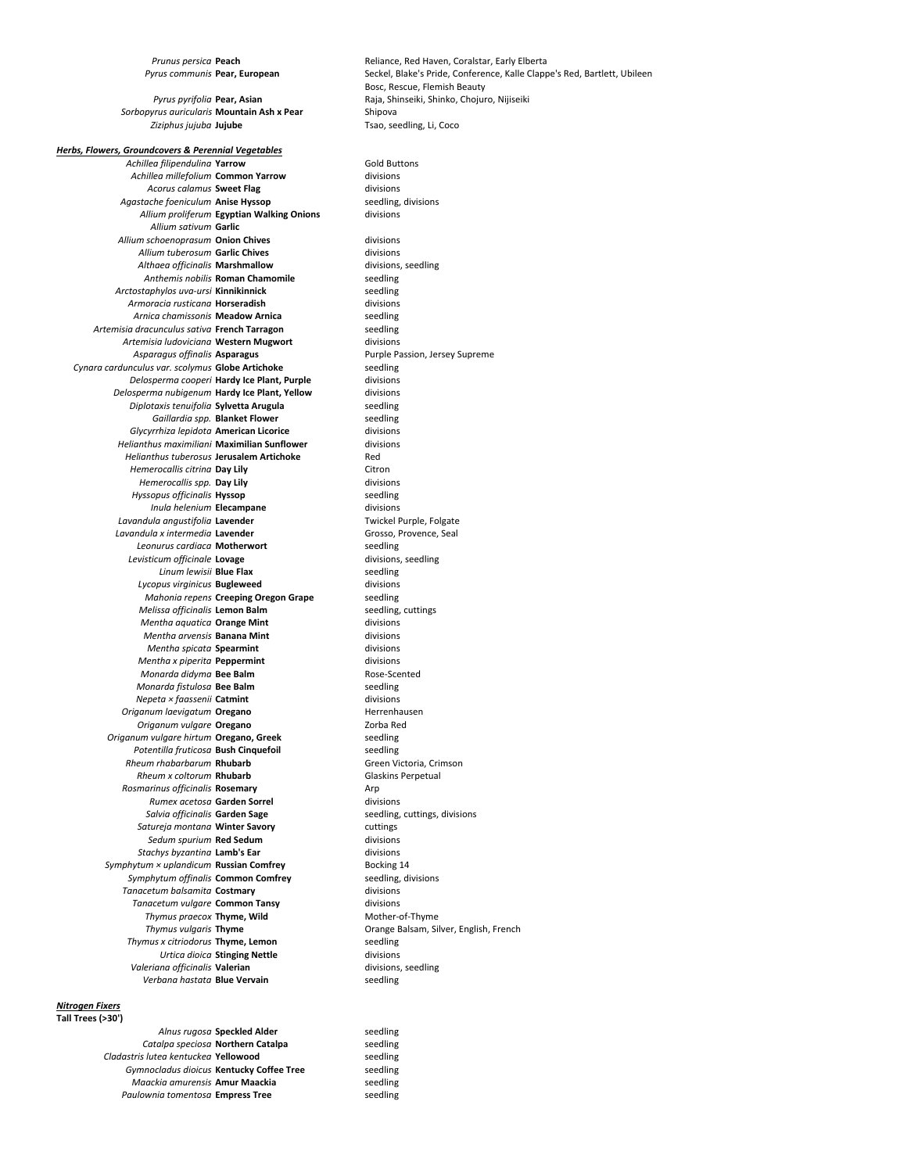Sorbopyrus auricularis Mountain Ash x Pear Shipova Ziziphus jujuba **Jujube Tsao**, seedling, Li, Coco

**Herbs, Flowers, Groundcovers & Perennial Vegetables** 

Achillea filipendulina **Yarrow** Gold Buttons Achillea millefolium **Common Yarrow** divisions Acorus calamus **Sweet Flag** divisions Agastache foeniculum Anise Hyssop seedling, divisions *Allium proliferum* **Egyptian Walking Onions** divisions *Allium sativum* **Garlic** Allium schoenoprasum **Onion Chives** divisions Allium tuberosum **Garlic Chives** divisions Althaea officinalis **Marshmallow** divisions, seedling **Anthemis nobilis Roman Chamomile** seedling<br> **Seedling** seedling seedling *Arctostaphylos uva-ursi* **Kinnikinnick Armoracia rusticana <b>Horseradish Armoracia** divisions **Armica** chamissonis **Meadow Arnica Armoracy Seedling Arnica chamissonis Meadow Arnica** *Artemisia dracunculus sativa* **French Tarragon** seedling Artemisia ludoviciana Western Mugwort divisions Asparagus offinalis **Asparagus Asparagus** Purple Passion, Jersey Supreme Cynara cardunculus var. scolymus **Globe Artichoke** seedling *Delosperma cooperi* **Hardy Ice Plant, Purple** divisions **Delosperma nubigenum Hardy Ice Plant, Yellow** divisions *Diplotaxis tenuifolia* **Sylvetta Arugula** seedling *Gaillardia spp.* **Blanket Flower Seedling Seedling Seedling Seedling Seedling Seedling Seedling Seedling Seedling Glycyrrhiza lepidota American Licorice** *Helianthus maximiliani* **Maximilian Sunflower** divisions *Helianthus tuberosus* **Jerusalem Artichoke** Red *Hemerocallis citrina* **Day Lily** Citron Citron Citron Consumers Consumers Consumers Citron City Consumers Consumers Consumers Consumers Consumers Consumers Consumers Consumers Consumers Consumers Consumers Consumers Consu *Hemerocallis spp.* Day Lily *Hyssopus officinalis* **Hyssop** seedling **Inula helenium Elecampane Communisty Electropy divisions** divisions divisions and the subset of the subset of the subset of the subset of the subset of the subset of the subset of the subset of the subset of the subset Lavandula angustifolia Lavender Lavandula x intermedia **Lavender** Grosso, Provence, Seal Leonurus cardiaca **Motherwort** seedling **Levisticum officinale Lovage** divisions, seedling<br>
Linum lewisii **Blue Flax** seedling *Linum lewisii* **Blue Flax** *Lycopus virginicus* **Bugleweed** divisions *Mahonia repens* **Creeping Oregon Grape** seedling<br> *Melissa officinalis* Lemon Balm<br>
seedling, cuttings *Melissa officinalis* Lemon Balm *Mentha aquatica* **Orange Mint** divisions *Mentha arvensis* **Banana Mint** divisions *Mentha spicata* **Spearmint** divisions divisions divisions divisions divisions divisions *Mentha x piperita* **Peppermint** *Monarda didyma* **Bee Balm** Rose-Scented *Monarda fistulosa* **Bee Balm seedling** *Mepeta × faassenii* **Catmint** *Seedling* **seedling** *Nepeta × faassenii* Catmint **Origanum laevigatum Oregano Herrenhausen** *Origanum vulgare* **Oregano Zorba** Red **Origanum** vulgare hirtum **Oregano, Greek** seedling **Potentilla fruticosa Bush Cinquefoil** seedling **Rheum rhabarbarum Rhubarb** Green Victoria, Crimson **Rheum x coltorum Rhubarb** Glaskins Perpetual **Rosmarinus officinalis Rosemary Arp** Arp *Rumex acetosa* **Garden Sorrel** divisions **Salvia officinalis Garden Sage** seedling, cuttings, divisions *Satureja montana* **Winter Savory** cuttings **Sedum spurium Red Sedum**<br> **Sedum** spurium **Red Sedum**<br> **Sedum** divisions acho divisions **Stachys byzantina Lamb's Ear** *Symphytum × uplandicum* **Russian Comfrey** Bocking 14 Symphytum offinalis **Common Comfrey** seedling, divisions **Tanacetum balsamita Costmary Communisty Constructions** divisions **Tanacetum** vulgare **Common Tansy Tanacetum** vulgare **Common Tansy Thymus praecox Thyme. Wild** Mother-of-Thyme **Thymus vulgaris Thyme The Community Communist Communist Communist Communist Communist Communist Communist Communist Communist Communist Communist Communist Communist Communist Communist Communist Communist Communist Com Thymus x citriodorus <b>Thyme, Lemon** seedling<br>*Urtica dioica* **Stinging Nettle** divisions **Urtica dioica Stinging Nettle Constitutional divisions** divisions divisions and officinalis **Valerian Valeriana officinalis Valerian** Verbana hastata **Blue Vervain** seedling

## *Nitrogen Fixers* **Tall Trees (>30')**

Alnus rugosa **Speckled Alder** seedling **Catalpa speciosa Northern Catalpa** seedling *Cladastris lutea kentuckea* **Yellowood** seedling Gymnocladus dioicus Kentucky Coffee Tree seedling *Maackia amurensis* **Amur Maackia** seedling **Paulownia tomentosa Empress Tree** seedling

**Prunus persica Peach Reliance, Red Haven, Coralstar, Early Elberta** Pyrus communis **Pear, European** Seckel, Blake's Pride, Conference, Kalle Clappe's Red, Bartlett, Ubileen Bosc, Rescue, Flemish Beauty Pyrus pyrifolia Pear, Asian **Raja**, Shinseiki, Shinko, Chojuro, Nijiseiki